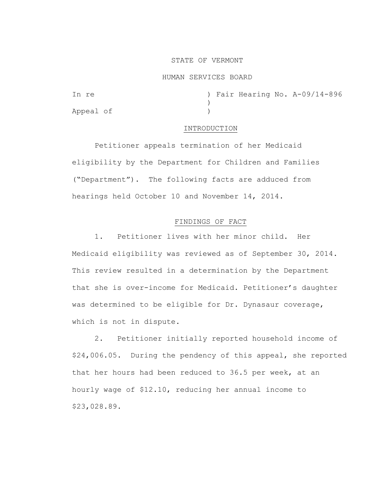### STATE OF VERMONT

### HUMAN SERVICES BOARD

| In re     |  |  | ) Fair Hearing No. A-09/14-896 |
|-----------|--|--|--------------------------------|
|           |  |  |                                |
| Appeal of |  |  |                                |

### INTRODUCTION

Petitioner appeals termination of her Medicaid eligibility by the Department for Children and Families ("Department"). The following facts are adduced from hearings held October 10 and November 14, 2014.

## FINDINGS OF FACT

1. Petitioner lives with her minor child. Her Medicaid eligibility was reviewed as of September 30, 2014. This review resulted in a determination by the Department that she is over-income for Medicaid. Petitioner's daughter was determined to be eligible for Dr. Dynasaur coverage, which is not in dispute.

2. Petitioner initially reported household income of \$24,006.05. During the pendency of this appeal, she reported that her hours had been reduced to 36.5 per week, at an hourly wage of \$12.10, reducing her annual income to \$23,028.89.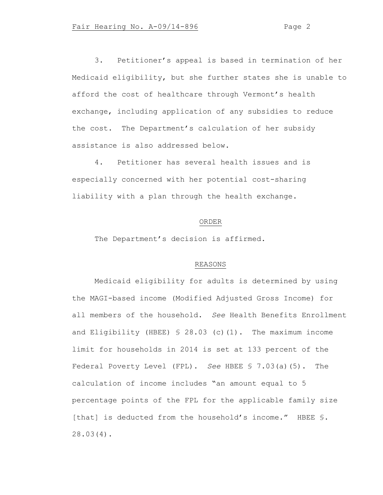3. Petitioner's appeal is based in termination of her Medicaid eligibility, but she further states she is unable to afford the cost of healthcare through Vermont's health exchange, including application of any subsidies to reduce the cost. The Department's calculation of her subsidy assistance is also addressed below.

4. Petitioner has several health issues and is especially concerned with her potential cost-sharing liability with a plan through the health exchange.

### ORDER

The Department's decision is affirmed.

# REASONS

Medicaid eligibility for adults is determined by using the MAGI-based income (Modified Adjusted Gross Income) for all members of the household. *See* Health Benefits Enrollment and Eligibility (HBEE) § 28.03 (c)(1). The maximum income limit for households in 2014 is set at 133 percent of the Federal Poverty Level (FPL). *See* HBEE § 7.03(a)(5). The calculation of income includes "an amount equal to 5 percentage points of the FPL for the applicable family size [that] is deducted from the household's income." HBEE §. 28.03(4).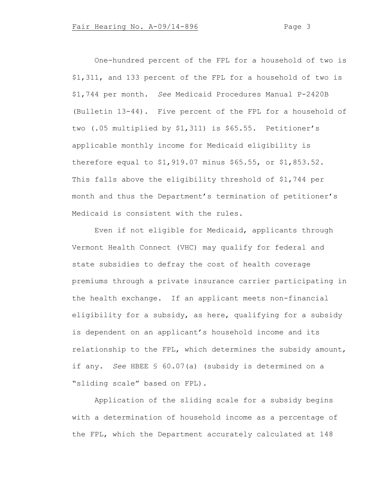One-hundred percent of the FPL for a household of two is \$1,311, and 133 percent of the FPL for a household of two is \$1,744 per month. *See* Medicaid Procedures Manual P-2420B (Bulletin 13-44). Five percent of the FPL for a household of two (.05 multiplied by \$1,311) is \$65.55. Petitioner's applicable monthly income for Medicaid eligibility is therefore equal to \$1,919.07 minus \$65.55, or \$1,853.52. This falls above the eligibility threshold of \$1,744 per month and thus the Department's termination of petitioner's Medicaid is consistent with the rules.

Even if not eligible for Medicaid, applicants through Vermont Health Connect (VHC) may qualify for federal and state subsidies to defray the cost of health coverage premiums through a private insurance carrier participating in the health exchange. If an applicant meets non-financial eligibility for a subsidy, as here, qualifying for a subsidy is dependent on an applicant's household income and its relationship to the FPL, which determines the subsidy amount, if any. *See* HBEE § 60.07(a) (subsidy is determined on a "sliding scale" based on FPL).

Application of the sliding scale for a subsidy begins with a determination of household income as a percentage of the FPL, which the Department accurately calculated at 148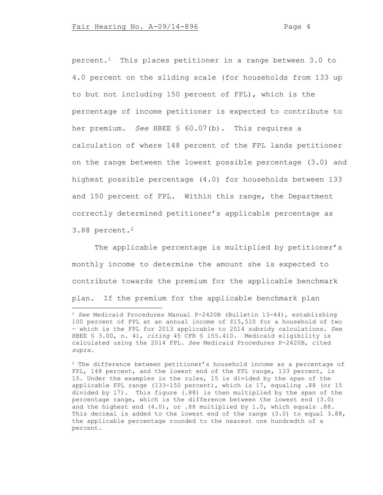percent.1 This places petitioner in a range between 3.0 to 4.0 percent on the sliding scale (for households from 133 up to but not including 150 percent of FPL), which is the percentage of income petitioner is expected to contribute to her premium. *See* HBEE § 60.07(b). This requires a calculation of where 148 percent of the FPL lands petitioner on the range between the lowest possible percentage (3.0) and highest possible percentage (4.0) for households between 133 and 150 percent of FPL. Within this range, the Department correctly determined petitioner's applicable percentage as 3.88 percent.<sup>2</sup>

The applicable percentage is multiplied by petitioner's monthly income to determine the amount she is expected to contribute towards the premium for the applicable benchmark plan. If the premium for the applicable benchmark plan

<sup>2</sup> The difference between petitioner's household income as a percentage of FPL, 148 percent, and the lowest end of the FPL range, 133 percent, is 15. Under the examples in the rules, 15 is divided by the span of the applicable FPL range (133-150 percent), which is 17, equaling .88 (or 15 divided by 17). This figure (.88) is then multiplied by the span of the percentage range, which is the difference between the lowest end (3.0) and the highest end (4.0), or .88 multiplied by 1.0, which equals .88. This decimal is added to the lowest end of the range (3.0) to equal 3.88, the applicable percentage rounded to the nearest one hundredth of a percent.

<sup>1</sup> *See* Medicaid Procedures Manual P-2420B (Bulletin 13-44), establishing 100 percent of FPL at an annual income of \$15,510 for a household of two – which is the FPL for 2013 applicable to 2014 subsidy calculations. *See* HBEE § 3.00, n. 41, *citing* 45 CFR § 155.410. Medicaid eligibility is calculated using the 2014 FPL. *See* Medicaid Procedures P-2420B, cited *supra*.